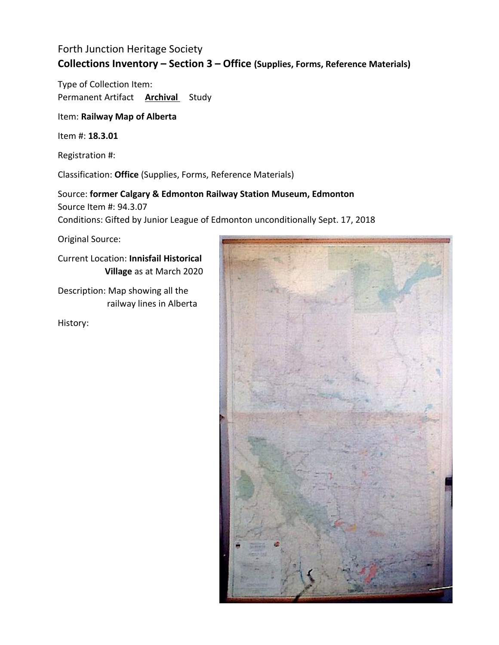Type of Collection Item: Permanent Artifact **Archival** Study

Item: **Railway Map of Alberta**

Item #: **18.3.01**

Registration #:

Classification: **Office** (Supplies, Forms, Reference Materials)

Source: **former Calgary & Edmonton Railway Station Museum, Edmonton** Source Item #: 94.3.07 Conditions: Gifted by Junior League of Edmonton unconditionally Sept. 17, 2018

Original Source:

Current Location: **Innisfail Historical Village** as at March 2020

Description: Map showing all the railway lines in Alberta

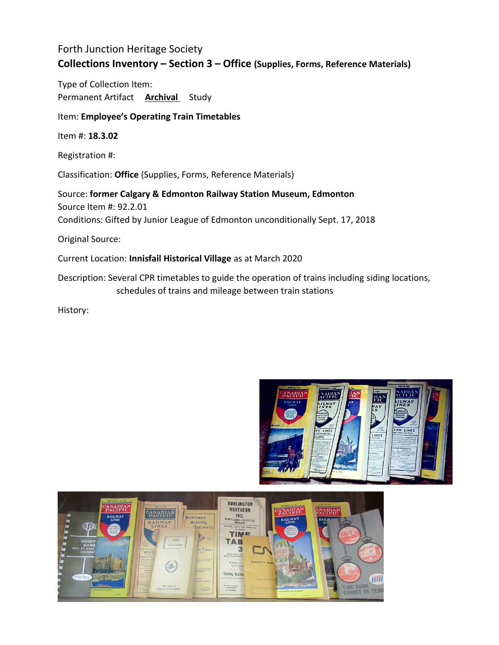Type of Collection Item: Permanent Artifact **Archival** Study

#### Item: **Employee's Operating Train Timetables**

Item #: **18.3.02**

Registration #:

Classification: **Office** (Supplies, Forms, Reference Materials)

Source: **former Calgary & Edmonton Railway Station Museum, Edmonton** Source Item #: 92.2.01 Conditions: Gifted by Junior League of Edmonton unconditionally Sept. 17, 2018

Original Source:

#### Current Location: **Innisfail Historical Village** as at March 2020

Description: Several CPR timetables to guide the operation of trains including siding locations, schedules of trains and mileage between train stations



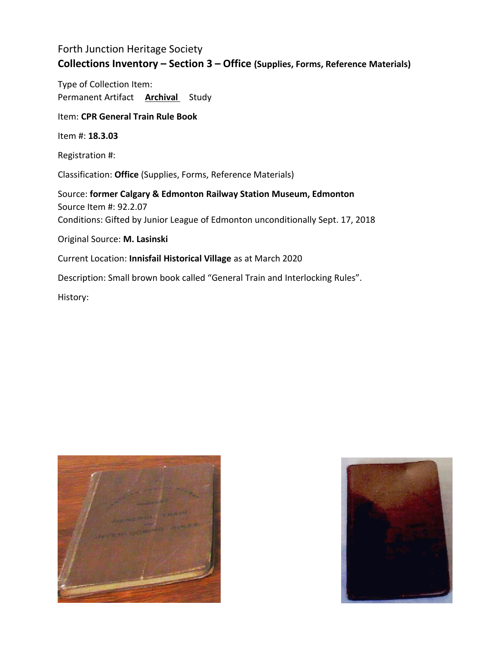Type of Collection Item: Permanent Artifact **Archival** Study

#### Item: **CPR General Train Rule Book**

Item #: **18.3.03**

Registration #:

Classification: **Office** (Supplies, Forms, Reference Materials)

Source: **former Calgary & Edmonton Railway Station Museum, Edmonton** Source Item #: 92.2.07 Conditions: Gifted by Junior League of Edmonton unconditionally Sept. 17, 2018

Original Source: **M. Lasinski**

Current Location: **Innisfail Historical Village** as at March 2020

Description: Small brown book called "General Train and Interlocking Rules".



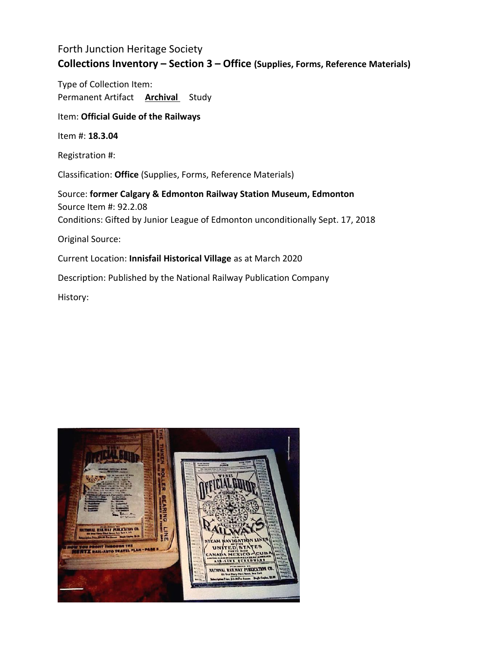Type of Collection Item: Permanent Artifact **Archival** Study

Item: **Official Guide of the Railways**

Item #: **18.3.04**

Registration #:

Classification: **Office** (Supplies, Forms, Reference Materials)

Source: **former Calgary & Edmonton Railway Station Museum, Edmonton** Source Item #: 92.2.08 Conditions: Gifted by Junior League of Edmonton unconditionally Sept. 17, 2018 Original Source:

Current Location: **Innisfail Historical Village** as at March 2020

Description: Published by the National Railway Publication Company

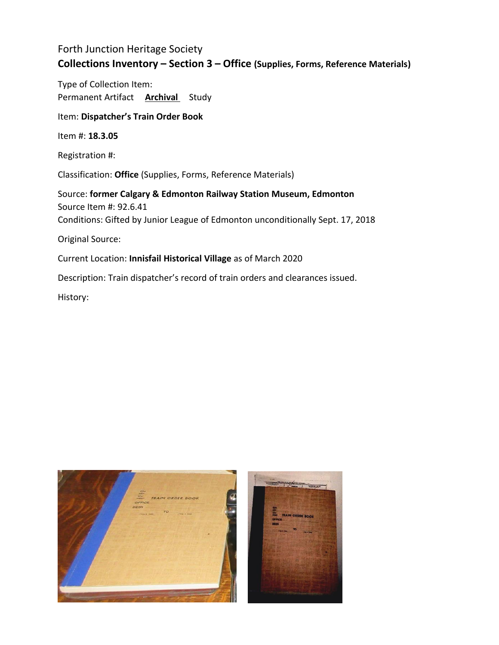Type of Collection Item: Permanent Artifact **Archival** Study

Item: **Dispatcher's Train Order Book**

Item #: **18.3.05**

Registration #:

Classification: **Office** (Supplies, Forms, Reference Materials)

Source: **former Calgary & Edmonton Railway Station Museum, Edmonton** Source Item #: 92.6.41 Conditions: Gifted by Junior League of Edmonton unconditionally Sept. 17, 2018

Original Source:

Current Location: **Innisfail Historical Village** as of March 2020

Description: Train dispatcher's record of train orders and clearances issued.

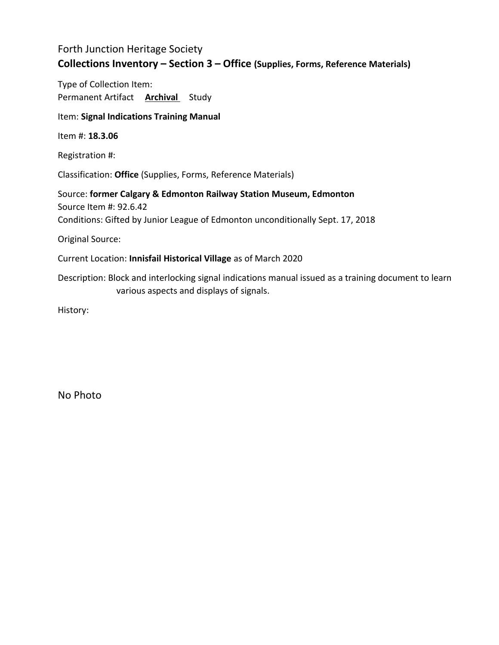Type of Collection Item: Permanent Artifact **Archival** Study

#### Item: **Signal Indications Training Manual**

Item #: **18.3.06**

Registration #:

Classification: **Office** (Supplies, Forms, Reference Materials)

Source: **former Calgary & Edmonton Railway Station Museum, Edmonton** Source Item #: 92.6.42 Conditions: Gifted by Junior League of Edmonton unconditionally Sept. 17, 2018

Original Source:

Current Location: **Innisfail Historical Village** as of March 2020

Description: Block and interlocking signal indications manual issued as a training document to learn various aspects and displays of signals.

History:

No Photo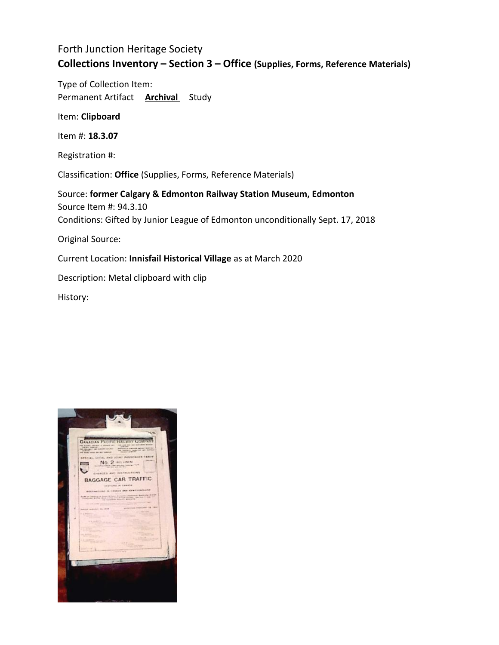Type of Collection Item: Permanent Artifact **Archival** Study

Item: **Clipboard**

Item #: **18.3.07**

Registration #:

Classification: **Office** (Supplies, Forms, Reference Materials)

Source: **former Calgary & Edmonton Railway Station Museum, Edmonton** Source Item #: 94.3.10 Conditions: Gifted by Junior League of Edmonton unconditionally Sept. 17, 2018 Original Source:

Current Location: **Innisfail Historical Village** as at March 2020

Description: Metal clipboard with clip

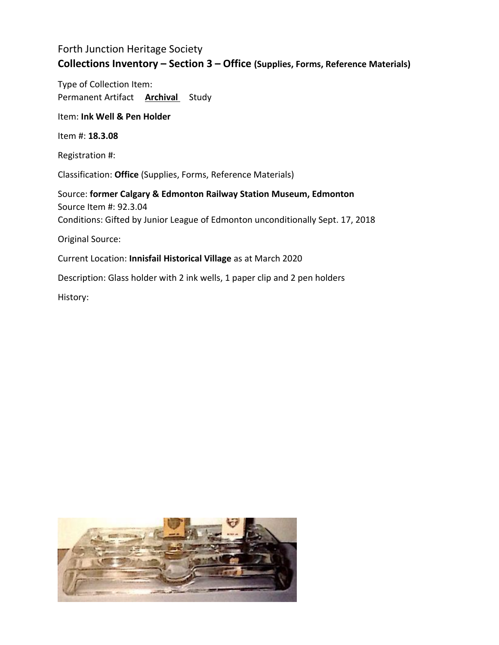Type of Collection Item: Permanent Artifact **Archival** Study

Item: **Ink Well & Pen Holder**

Item #: **18.3.08**

Registration #:

Classification: **Office** (Supplies, Forms, Reference Materials)

Source: **former Calgary & Edmonton Railway Station Museum, Edmonton** Source Item #: 92.3.04 Conditions: Gifted by Junior League of Edmonton unconditionally Sept. 17, 2018 Original Source:

Current Location: **Innisfail Historical Village** as at March 2020

Description: Glass holder with 2 ink wells, 1 paper clip and 2 pen holders

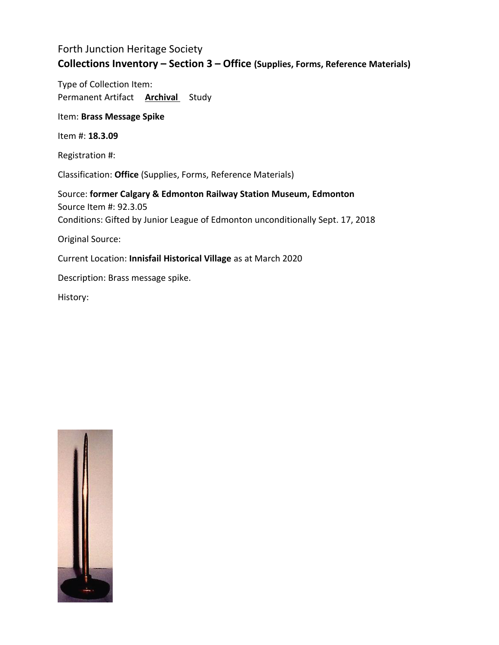Type of Collection Item: Permanent Artifact **Archival** Study

Item: **Brass Message Spike**

Item #: **18.3.09**

Registration #:

Classification: **Office** (Supplies, Forms, Reference Materials)

Source: **former Calgary & Edmonton Railway Station Museum, Edmonton** Source Item #: 92.3.05 Conditions: Gifted by Junior League of Edmonton unconditionally Sept. 17, 2018

Original Source:

Current Location: **Innisfail Historical Village** as at March 2020

Description: Brass message spike.

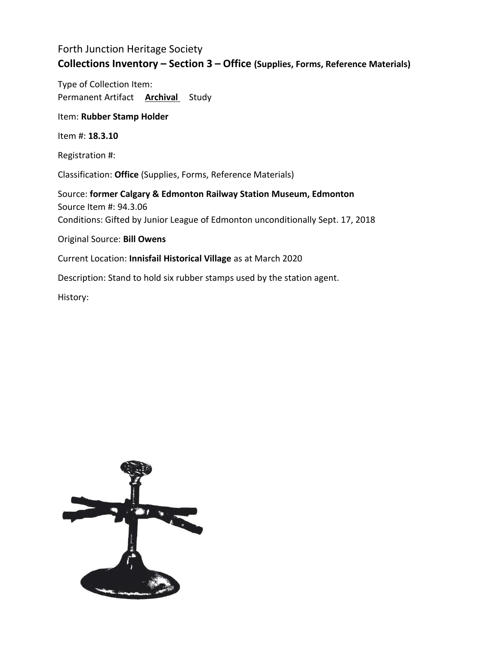Type of Collection Item: Permanent Artifact **Archival** Study

Item: **Rubber Stamp Holder**

Item #: **18.3.10**

Registration #:

Classification: **Office** (Supplies, Forms, Reference Materials)

Source: **former Calgary & Edmonton Railway Station Museum, Edmonton** Source Item #: 94.3.06 Conditions: Gifted by Junior League of Edmonton unconditionally Sept. 17, 2018

Original Source: **Bill Owens**

Current Location: **Innisfail Historical Village** as at March 2020

Description: Stand to hold six rubber stamps used by the station agent.

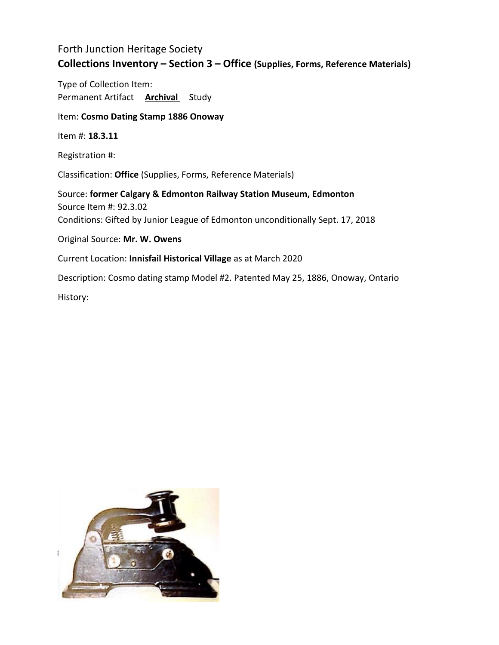Type of Collection Item: Permanent Artifact **Archival** Study

Item: **Cosmo Dating Stamp 1886 Onoway**

Item #: **18.3.11**

Registration #:

Classification: **Office** (Supplies, Forms, Reference Materials)

Source: **former Calgary & Edmonton Railway Station Museum, Edmonton** Source Item #: 92.3.02 Conditions: Gifted by Junior League of Edmonton unconditionally Sept. 17, 2018

Original Source: **Mr. W. Owens**

Current Location: **Innisfail Historical Village** as at March 2020

Description: Cosmo dating stamp Model #2. Patented May 25, 1886, Onoway, Ontario

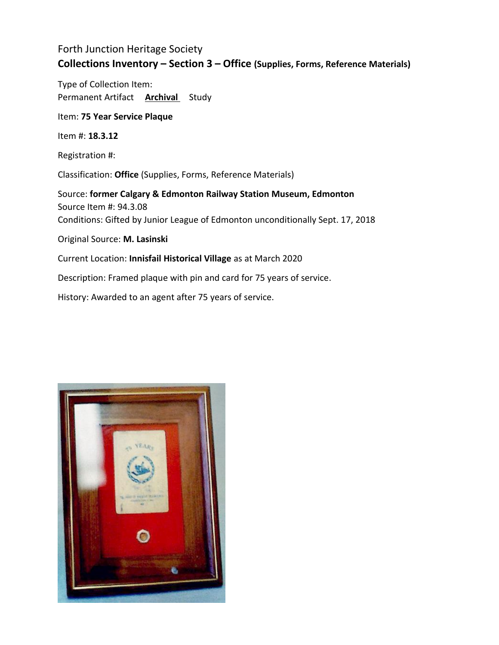Type of Collection Item: Permanent Artifact **Archival** Study

Item: **75 Year Service Plaque**

Item #: **18.3.12**

Registration #:

Classification: **Office** (Supplies, Forms, Reference Materials)

Source: **former Calgary & Edmonton Railway Station Museum, Edmonton** Source Item #: 94.3.08 Conditions: Gifted by Junior League of Edmonton unconditionally Sept. 17, 2018

Original Source: **M. Lasinski**

Current Location: **Innisfail Historical Village** as at March 2020

Description: Framed plaque with pin and card for 75 years of service.

History: Awarded to an agent after 75 years of service.

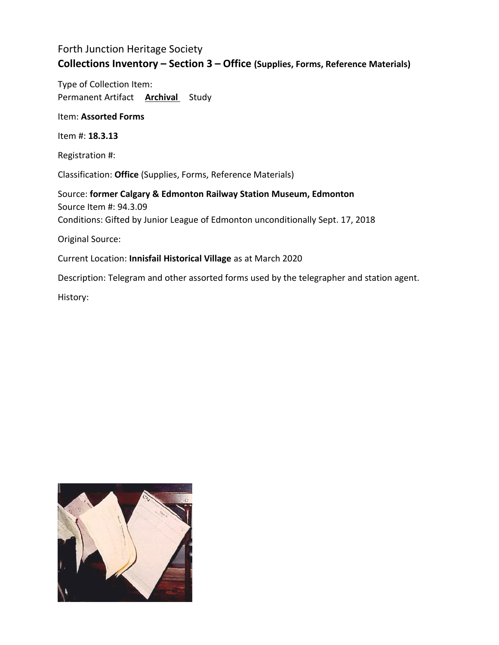Type of Collection Item: Permanent Artifact **Archival** Study

Item: **Assorted Forms**

Item #: **18.3.13**

Registration #:

Classification: **Office** (Supplies, Forms, Reference Materials)

Source: **former Calgary & Edmonton Railway Station Museum, Edmonton** Source Item #: 94.3.09 Conditions: Gifted by Junior League of Edmonton unconditionally Sept. 17, 2018

Original Source:

Current Location: **Innisfail Historical Village** as at March 2020

Description: Telegram and other assorted forms used by the telegrapher and station agent.

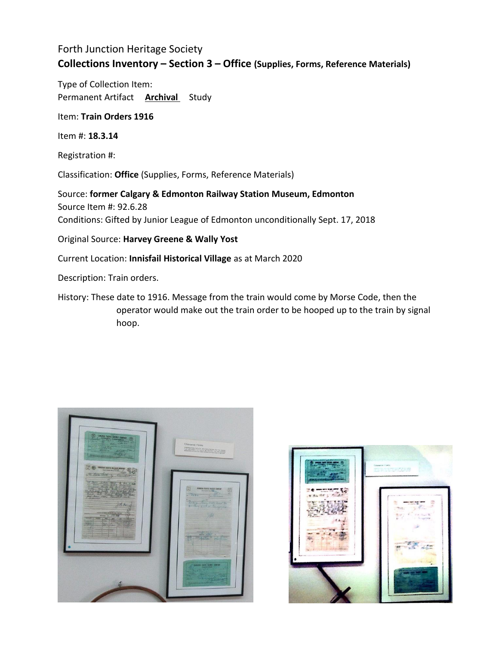Type of Collection Item: Permanent Artifact **Archival** Study

Item: **Train Orders 1916**

Item #: **18.3.14**

Registration #:

Classification: **Office** (Supplies, Forms, Reference Materials)

Source: **former Calgary & Edmonton Railway Station Museum, Edmonton** Source Item #: 92.6.28 Conditions: Gifted by Junior League of Edmonton unconditionally Sept. 17, 2018

Original Source: **Harvey Greene & Wally Yost**

Current Location: **Innisfail Historical Village** as at March 2020

Description: Train orders.

History: These date to 1916. Message from the train would come by Morse Code, then the operator would make out the train order to be hooped up to the train by signal hoop.



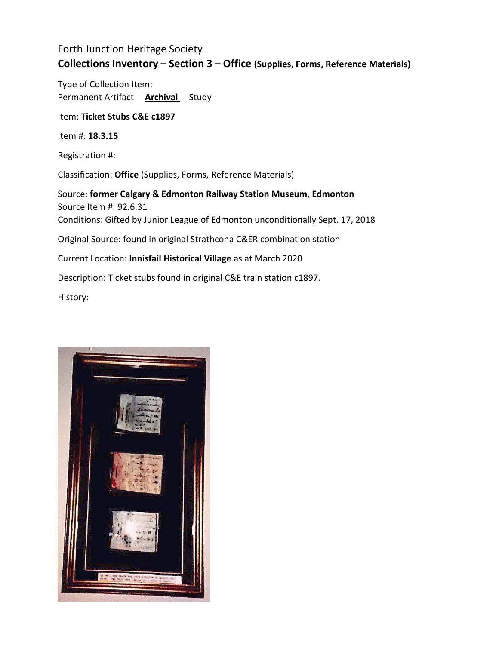Type of Collection Item: Permanent Artifact **Archival** Study

Item: **Ticket Stubs C&E c1897**

Item #: **18.3.15**

Registration #:

Classification: **Office** (Supplies, Forms, Reference Materials)

Source: **former Calgary & Edmonton Railway Station Museum, Edmonton** Source Item #: 92.6.31 Conditions: Gifted by Junior League of Edmonton unconditionally Sept. 17, 2018 Original Source: found in original Strathcona C&ER combination station Current Location: **Innisfail Historical Village** as at March 2020 Description: Ticket stubs found in original C&E train station c1897. History:

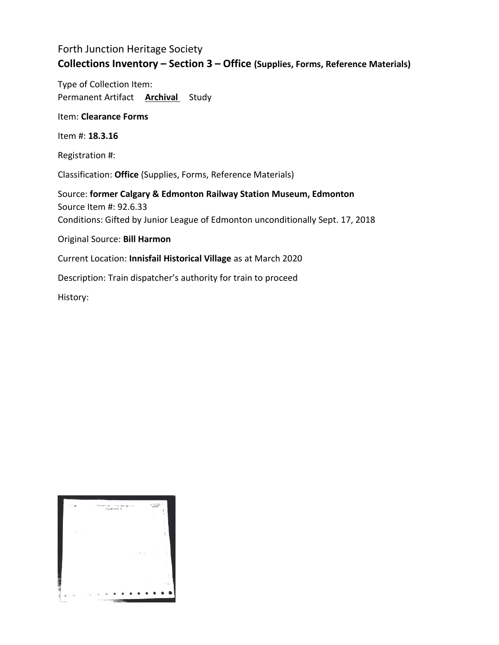Type of Collection Item: Permanent Artifact **Archival** Study

Item: **Clearance Forms**

Item #: **18.3.16**

Registration #:

Classification: **Office** (Supplies, Forms, Reference Materials)

Source: **former Calgary & Edmonton Railway Station Museum, Edmonton** Source Item #: 92.6.33 Conditions: Gifted by Junior League of Edmonton unconditionally Sept. 17, 2018

Original Source: **Bill Harmon**

Current Location: **Innisfail Historical Village** as at March 2020

Description: Train dispatcher's authority for train to proceed

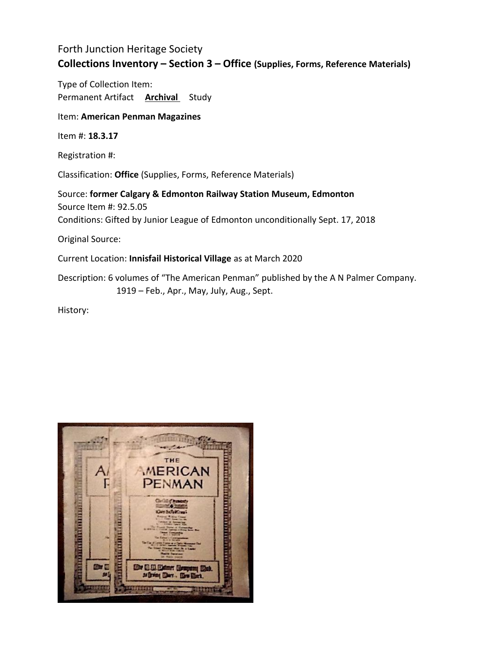Type of Collection Item: Permanent Artifact **Archival** Study

#### Item: **American Penman Magazines**

Item #: **18.3.17**

Registration #:

Classification: **Office** (Supplies, Forms, Reference Materials)

Source: **former Calgary & Edmonton Railway Station Museum, Edmonton** Source Item #: 92.5.05 Conditions: Gifted by Junior League of Edmonton unconditionally Sept. 17, 2018

Original Source:

Current Location: **Innisfail Historical Village** as at March 2020

Description: 6 volumes of "The American Penman" published by the A N Palmer Company. 1919 – Feb., Apr., May, July, Aug., Sept.

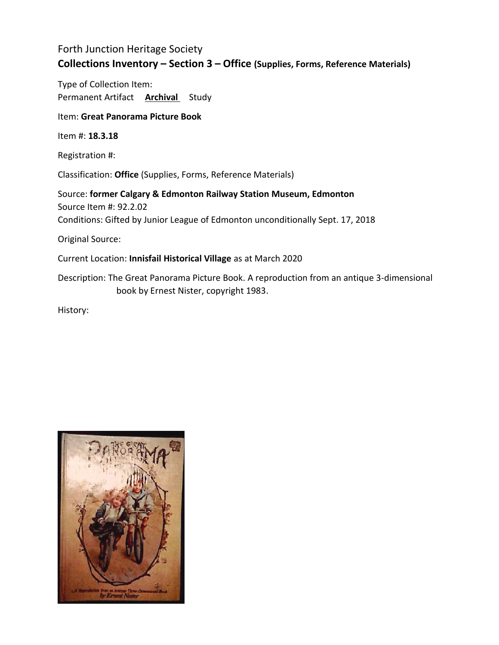Type of Collection Item: Permanent Artifact **Archival** Study

Item: **Great Panorama Picture Book**

Item #: **18.3.18**

Registration #:

Classification: **Office** (Supplies, Forms, Reference Materials)

Source: **former Calgary & Edmonton Railway Station Museum, Edmonton** Source Item #: 92.2.02 Conditions: Gifted by Junior League of Edmonton unconditionally Sept. 17, 2018

Original Source:

Current Location: **Innisfail Historical Village** as at March 2020

Description: The Great Panorama Picture Book. A reproduction from an antique 3-dimensional book by Ernest Nister, copyright 1983.

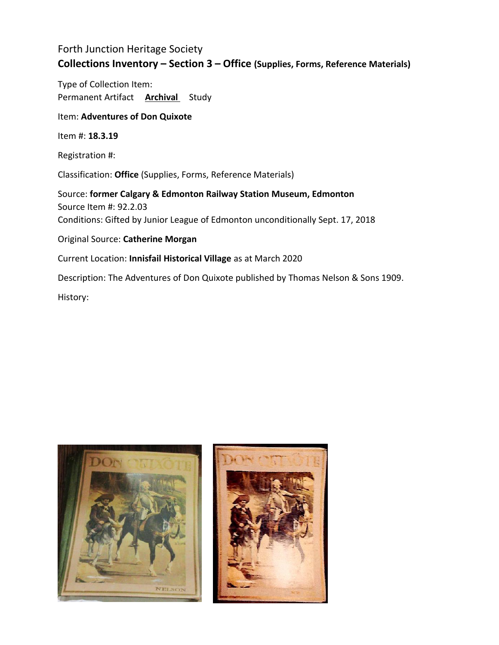Type of Collection Item: Permanent Artifact **Archival** Study

#### Item: **Adventures of Don Quixote**

Item #: **18.3.19**

Registration #:

Classification: **Office** (Supplies, Forms, Reference Materials)

Source: **former Calgary & Edmonton Railway Station Museum, Edmonton** Source Item #: 92.2.03 Conditions: Gifted by Junior League of Edmonton unconditionally Sept. 17, 2018

#### Original Source: **Catherine Morgan**

Current Location: **Innisfail Historical Village** as at March 2020

Description: The Adventures of Don Quixote published by Thomas Nelson & Sons 1909.

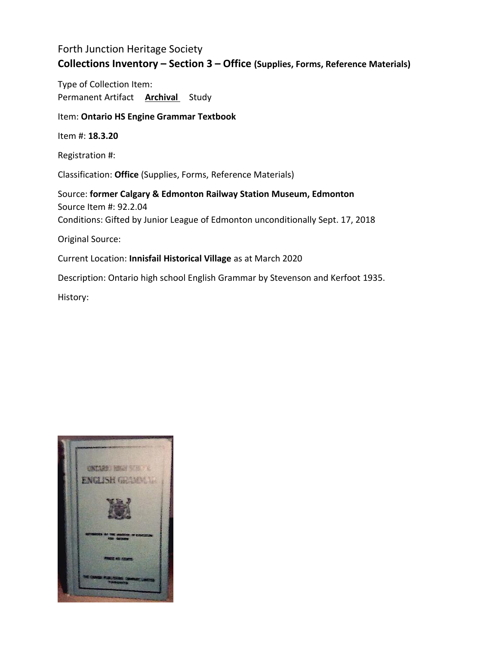Type of Collection Item: Permanent Artifact **Archival** Study

#### Item: **Ontario HS Engine Grammar Textbook**

Item #: **18.3.20**

Registration #:

Classification: **Office** (Supplies, Forms, Reference Materials)

Source: **former Calgary & Edmonton Railway Station Museum, Edmonton** Source Item #: 92.2.04 Conditions: Gifted by Junior League of Edmonton unconditionally Sept. 17, 2018 Original Source:

Current Location: **Innisfail Historical Village** as at March 2020

Description: Ontario high school English Grammar by Stevenson and Kerfoot 1935.

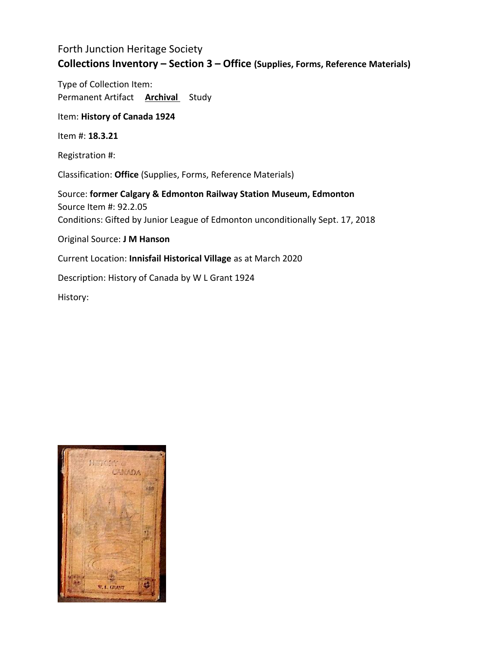Type of Collection Item: Permanent Artifact **Archival** Study

Item: **History of Canada 1924**

Item #: **18.3.21**

Registration #:

Classification: **Office** (Supplies, Forms, Reference Materials)

Source: **former Calgary & Edmonton Railway Station Museum, Edmonton** Source Item #: 92.2.05 Conditions: Gifted by Junior League of Edmonton unconditionally Sept. 17, 2018

Original Source: **J M Hanson**

Current Location: **Innisfail Historical Village** as at March 2020

Description: History of Canada by W L Grant 1924